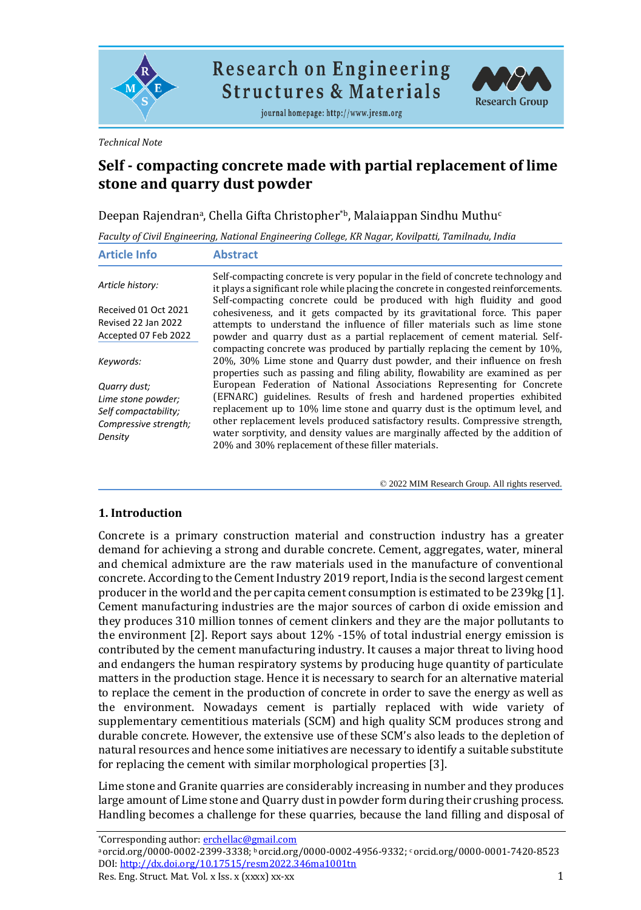

**Research on Engineering Structures & Materials** 

journal homepage: http://www.jresm.org



*Technical Note*

# **Self - compacting concrete made with partial replacement of lime stone and quarry dust powder**

Deepan Rajendranª, Chella Gifta Christopher\*b, Malaiappan Sindhu Muthu<sup>c</sup>

*Faculty of Civil Engineering, National Engineering College, KR Nagar, Kovilpatti, Tamilnadu, India*

| <b>Article Info</b>                                                                            | <b>Abstract</b>                                                                                                                                                                                                                                                                                                                                                                                                                                           |
|------------------------------------------------------------------------------------------------|-----------------------------------------------------------------------------------------------------------------------------------------------------------------------------------------------------------------------------------------------------------------------------------------------------------------------------------------------------------------------------------------------------------------------------------------------------------|
| Article history:                                                                               | Self-compacting concrete is very popular in the field of concrete technology and<br>it plays a significant role while placing the concrete in congested reinforcements.<br>Self-compacting concrete could be produced with high fluidity and good                                                                                                                                                                                                         |
| Received 01 Oct 2021<br>Revised 22 Jan 2022<br>Accepted 07 Feb 2022                            | cohesiveness, and it gets compacted by its gravitational force. This paper<br>attempts to understand the influence of filler materials such as lime stone<br>powder and quarry dust as a partial replacement of cement material. Self-                                                                                                                                                                                                                    |
| Keywords:                                                                                      | compacting concrete was produced by partially replacing the cement by 10%.<br>20%, 30% Lime stone and Quarry dust powder, and their influence on fresh<br>properties such as passing and filing ability, flowability are examined as per                                                                                                                                                                                                                  |
| Quarry dust;<br>Lime stone powder;<br>Self compactability;<br>Compressive strength;<br>Density | European Federation of National Associations Representing for Concrete<br>(EFNARC) guidelines. Results of fresh and hardened properties exhibited<br>replacement up to 10% lime stone and quarry dust is the optimum level, and<br>other replacement levels produced satisfactory results. Compressive strength,<br>water sorptivity, and density values are marginally affected by the addition of<br>20% and 30% replacement of these filler materials. |

© 2022 MIM Research Group. All rights reserved.

### **1. Introduction**

Concrete is a primary construction material and construction industry has a greater demand for achieving a strong and durable concrete. Cement, aggregates, water, mineral and chemical admixture are the raw materials used in the manufacture of conventional concrete. According to the Cement Industry 2019 report, India is the second largest cement producer in the world and the per capita cement consumption is estimated to be 239kg [1]. Cement manufacturing industries are the major sources of carbon di oxide emission and they produces 310 million tonnes of cement clinkers and they are the major pollutants to the environment [2]. Report says about 12% -15% of total industrial energy emission is contributed by the cement manufacturing industry. It causes a major threat to living hood and endangers the human respiratory systems by producing huge quantity of particulate matters in the production stage. Hence it is necessary to search for an alternative material to replace the cement in the production of concrete in order to save the energy as well as the environment. Nowadays cement is partially replaced with wide variety of supplementary cementitious materials (SCM) and high quality SCM produces strong and durable concrete. However, the extensive use of these SCM's also leads to the depletion of natural resources and hence some initiatives are necessary to identify a suitable substitute for replacing the cement with similar morphological properties [3].

Lime stone and Granite quarries are considerably increasing in number and they produces large amount of Lime stone and Quarry dust in powder form during their crushing process. Handling becomes a challenge for these quarries, because the land filling and disposal of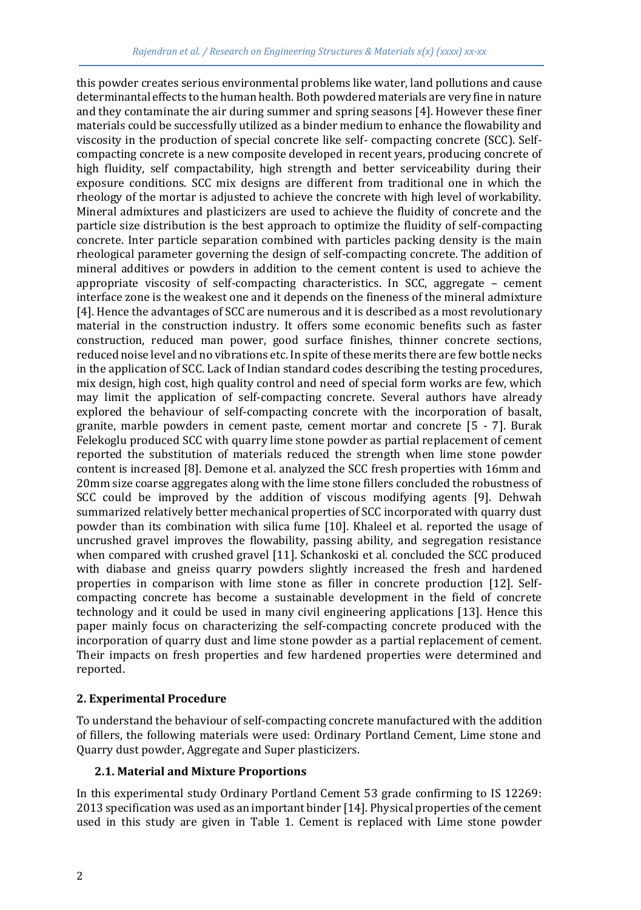this powder creates serious environmental problems like water, land pollutions and cause determinantal effects to the human health. Both powdered materials are very fine in nature and they contaminate the air during summer and spring seasons [4]. However these finer materials could be successfully utilized as a binder medium to enhance the flowability and viscosity in the production of special concrete like self- compacting concrete (SCC). Selfcompacting concrete is a new composite developed in recent years, producing concrete of high fluidity, self compactability, high strength and better serviceability during their exposure conditions. SCC mix designs are different from traditional one in which the rheology of the mortar is adjusted to achieve the concrete with high level of workability. Mineral admixtures and plasticizers are used to achieve the fluidity of concrete and the particle size distribution is the best approach to optimize the fluidity of self-compacting concrete. Inter particle separation combined with particles packing density is the main rheological parameter governing the design of self-compacting concrete. The addition of mineral additives or powders in addition to the cement content is used to achieve the appropriate viscosity of self-compacting characteristics. In SCC, aggregate – cement interface zone is the weakest one and it depends on the fineness of the mineral admixture [4]. Hence the advantages of SCC are numerous and it is described as a most revolutionary material in the construction industry. It offers some economic benefits such as faster construction, reduced man power, good surface finishes, thinner concrete sections, reduced noise level and no vibrations etc. In spite of these merits there are few bottle necks in the application of SCC. Lack of Indian standard codes describing the testing procedures, mix design, high cost, high quality control and need of special form works are few, which may limit the application of self-compacting concrete. Several authors have already explored the behaviour of self-compacting concrete with the incorporation of basalt, granite, marble powders in cement paste, cement mortar and concrete [5 - 7]. Burak Felekoglu produced SCC with quarry lime stone powder as partial replacement of cement reported the substitution of materials reduced the strength when lime stone powder content is increased [8]. Demone et al. analyzed the SCC fresh properties with 16mm and 20mm size coarse aggregates along with the lime stone fillers concluded the robustness of SCC could be improved by the addition of viscous modifying agents [9]. Dehwah summarized relatively better mechanical properties of SCC incorporated with quarry dust powder than its combination with silica fume [10]. Khaleel et al. reported the usage of uncrushed gravel improves the flowability, passing ability, and segregation resistance when compared with crushed gravel [11]. Schankoski et al. concluded the SCC produced with diabase and gneiss quarry powders slightly increased the fresh and hardened properties in comparison with lime stone as filler in concrete production [12]. Selfcompacting concrete has become a sustainable development in the field of concrete technology and it could be used in many civil engineering applications [13]. Hence this paper mainly focus on characterizing the self-compacting concrete produced with the incorporation of quarry dust and lime stone powder as a partial replacement of cement. Their impacts on fresh properties and few hardened properties were determined and reported.

### **2. Experimental Procedure**

To understand the behaviour of self-compacting concrete manufactured with the addition of fillers, the following materials were used: Ordinary Portland Cement, Lime stone and Quarry dust powder, Aggregate and Super plasticizers.

### **2.1. Material and Mixture Proportions**

In this experimental study Ordinary Portland Cement 53 grade confirming to IS 12269: 2013 specification was used as an important binder [14]. Physical properties of the cement used in this study are given in Table 1. Cement is replaced with Lime stone powder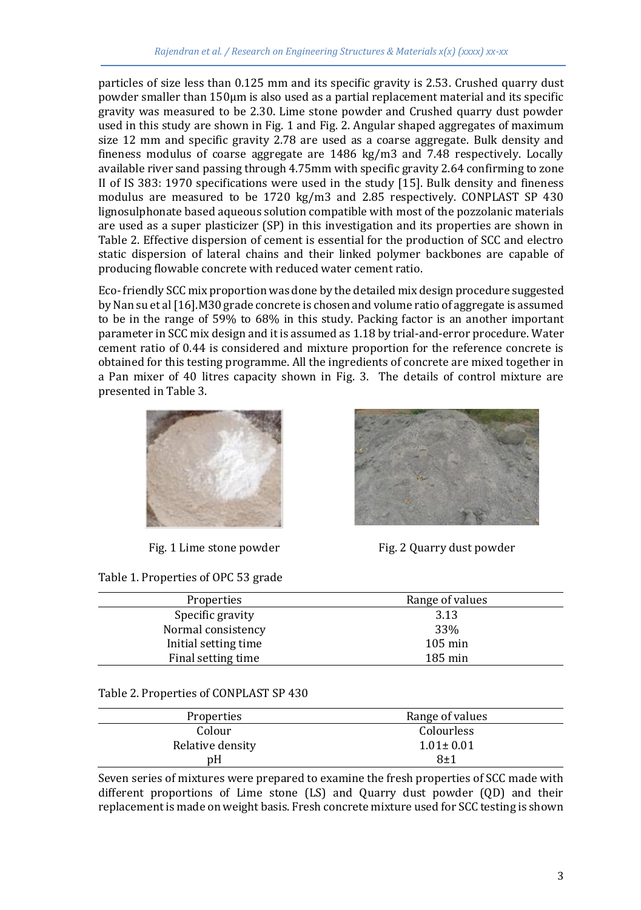particles of size less than 0.125 mm and its specific gravity is 2.53. Crushed quarry dust powder smaller than 150μm is also used as a partial replacement material and its specific gravity was measured to be 2.30. Lime stone powder and Crushed quarry dust powder used in this study are shown in Fig. 1 and Fig. 2. Angular shaped aggregates of maximum size 12 mm and specific gravity 2.78 are used as a coarse aggregate. Bulk density and fineness modulus of coarse aggregate are 1486 kg/m3 and 7.48 respectively. Locally available river sand passing through 4.75mm with specific gravity 2.64 confirming to zone II of IS 383: 1970 specifications were used in the study [15]. Bulk density and fineness modulus are measured to be 1720 kg/m3 and 2.85 respectively. CONPLAST SP 430 lignosulphonate based aqueous solution compatible with most of the pozzolanic materials are used as a super plasticizer (SP) in this investigation and its properties are shown in Table 2. Effective dispersion of cement is essential for the production of SCC and electro static dispersion of lateral chains and their linked polymer backbones are capable of producing flowable concrete with reduced water cement ratio.

Eco-friendly SCC mix proportion was done by the detailed mix design procedure suggested by Nan su et al [16].M30 grade concrete is chosen and volume ratio of aggregate is assumed to be in the range of 59% to 68% in this study. Packing factor is an another important parameter in SCC mix design and it is assumed as 1.18 by trial-and-error procedure. Water cement ratio of 0.44 is considered and mixture proportion for the reference concrete is obtained for this testing programme. All the ingredients of concrete are mixed together in a Pan mixer of 40 litres capacity shown in Fig. 3. The details of control mixture are presented in Table 3.



Table 1. Properties of OPC 53 grade



Fig. 1 Lime stone powder Fig. 2 Quarry dust powder

| Properties           | Range of values   |
|----------------------|-------------------|
| Specific gravity     | 3.13              |
| Normal consistency   | 33%               |
| Initial setting time | $105 \text{ min}$ |
| Final setting time   | $185 \text{ min}$ |

### Table 2. Properties of CONPLAST SP 430

| Range of values |
|-----------------|
| Colourless      |
| $1.01 \pm 0.01$ |
| 8±1             |
|                 |

Seven series of mixtures were prepared to examine the fresh properties of SCC made with different proportions of Lime stone (LS) and Quarry dust powder (QD) and their replacement is made on weight basis. Fresh concrete mixture used for SCC testing is shown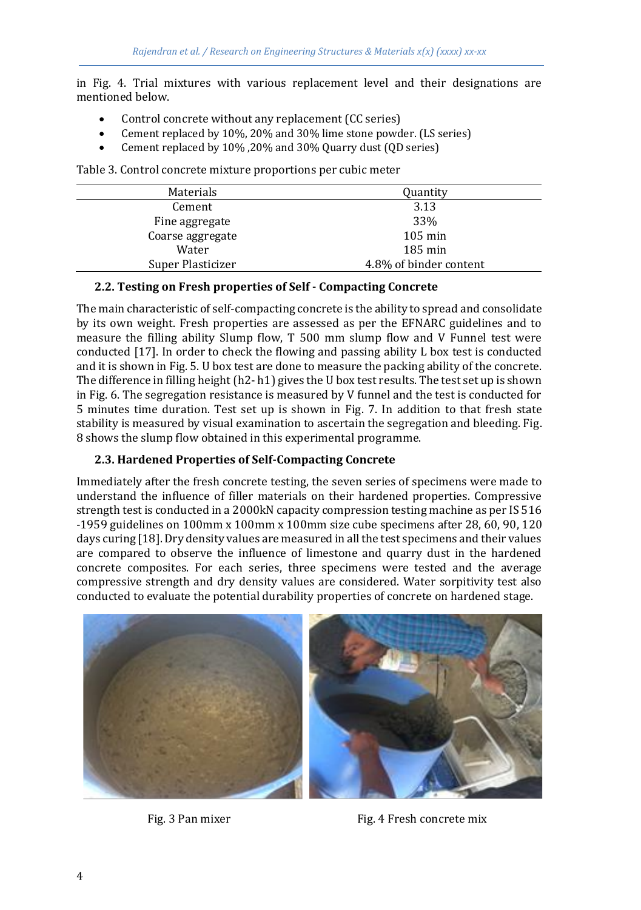in Fig. 4. Trial mixtures with various replacement level and their designations are mentioned below.

- Control concrete without any replacement (CC series)
- Cement replaced by 10%, 20% and 30% lime stone powder. (LS series)
- Cement replaced by 10% ,20% and 30% Quarry dust (QD series)

Table 3. Control concrete mixture proportions per cubic meter

| Materials         | Quantity               |
|-------------------|------------------------|
| Cement            | 3.13                   |
| Fine aggregate    | 33%                    |
| Coarse aggregate  | $105 \,\mathrm{min}$   |
| Water             | $185 \,\mathrm{min}$   |
| Super Plasticizer | 4.8% of binder content |

### **2.2. Testing on Fresh properties of Self - Compacting Concrete**

The main characteristic of self-compacting concrete is the ability to spread and consolidate by its own weight. Fresh properties are assessed as per the EFNARC guidelines and to measure the filling ability Slump flow, T 500 mm slump flow and V Funnel test were conducted [17]. In order to check the flowing and passing ability L box test is conducted and it is shown in Fig. 5. U box test are done to measure the packing ability of the concrete. The difference in filling height  $(h2-h1)$  gives the U box test results. The test set up is shown in Fig. 6. The segregation resistance is measured by V funnel and the test is conducted for 5 minutes time duration. Test set up is shown in Fig. 7. In addition to that fresh state stability is measured by visual examination to ascertain the segregation and bleeding. Fig. 8 shows the slump flow obtained in this experimental programme.

### **2.3. Hardened Properties of Self-Compacting Concrete**

Immediately after the fresh concrete testing, the seven series of specimens were made to understand the influence of filler materials on their hardened properties. Compressive strength test is conducted in a 2000kN capacity compression testing machine as per IS 516 -1959 guidelines on 100mm x 100mm x 100mm size cube specimens after 28, 60, 90, 120 days curing [18]. Dry density values are measured in all the test specimens and their values are compared to observe the influence of limestone and quarry dust in the hardened concrete composites. For each series, three specimens were tested and the average compressive strength and dry density values are considered. Water sorpitivity test also conducted to evaluate the potential durability properties of concrete on hardened stage.



Fig. 3 Pan mixer Fig. 4 Fresh concrete mix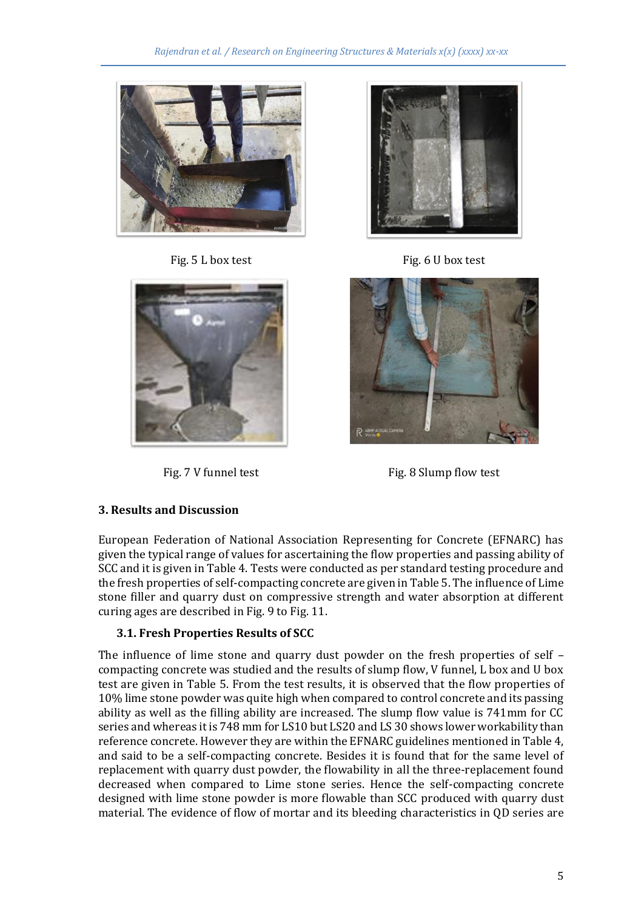





Fig. 5 L box test Fig. 6 U box test



Fig. 7 V funnel test Fig. 8 Slump flow test

# **3. Results and Discussion**

European Federation of National Association Representing for Concrete (EFNARC) has given the typical range of values for ascertaining the flow properties and passing ability of SCC and it is given in Table 4. Tests were conducted as per standard testing procedure and the fresh properties of self-compacting concrete are given in Table 5. The influence of Lime stone filler and quarry dust on compressive strength and water absorption at different curing ages are described in Fig. 9 to Fig. 11.

# **3.1. Fresh Properties Results of SCC**

The influence of lime stone and quarry dust powder on the fresh properties of self – compacting concrete was studied and the results of slump flow, V funnel, L box and U box test are given in Table 5. From the test results, it is observed that the flow properties of 10% lime stone powder was quite high when compared to control concrete and its passing ability as well as the filling ability are increased. The slump flow value is 741mm for CC series and whereas it is 748 mm for LS10 but LS20 and LS 30 shows lower workability than reference concrete. However they are within the EFNARC guidelines mentioned in Table 4, and said to be a self-compacting concrete. Besides it is found that for the same level of replacement with quarry dust powder, the flowability in all the three-replacement found decreased when compared to Lime stone series. Hence the self-compacting concrete designed with lime stone powder is more flowable than SCC produced with quarry dust material. The evidence of flow of mortar and its bleeding characteristics in QD series are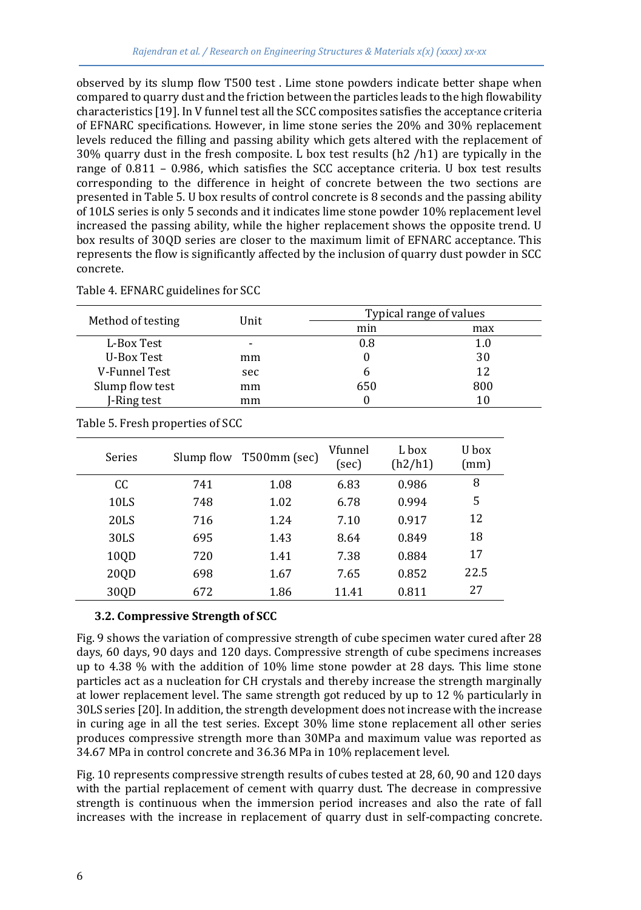observed by its slump flow T500 test . Lime stone powders indicate better shape when compared to quarry dust and the friction between the particles leads to the high flowability characteristics [19]. In V funnel test all the SCC composites satisfies the acceptance criteria of EFNARC specifications. However, in lime stone series the 20% and 30% replacement levels reduced the filling and passing ability which gets altered with the replacement of 30% quarry dust in the fresh composite. L box test results (h2 /h1) are typically in the range of 0.811 – 0.986, which satisfies the SCC acceptance criteria. U box test results corresponding to the difference in height of concrete between the two sections are presented in Table 5. U box results of control concrete is 8 seconds and the passing ability of 10LS series is only 5 seconds and it indicates lime stone powder 10% replacement level increased the passing ability, while the higher replacement shows the opposite trend. U box results of 30QD series are closer to the maximum limit of EFNARC acceptance. This represents the flow is significantly affected by the inclusion of quarry dust powder in SCC concrete.

|                   | Unit | Typical range of values |     |  |
|-------------------|------|-------------------------|-----|--|
| Method of testing |      | min                     | max |  |
| L-Box Test        |      | 0.8                     | 1.0 |  |
| U-Box Test        | mm   |                         | 30  |  |
| V-Funnel Test     | sec  | h                       | 12  |  |
| Slump flow test   | mm   | 650                     | 800 |  |
| J-Ring test       | mm   |                         |     |  |

Table 4. EFNARC guidelines for SCC

|  |  | Table 5. Fresh properties of SCC |  |
|--|--|----------------------------------|--|
|--|--|----------------------------------|--|

| <b>Series</b> | Slump flow | T500mm (sec) | Vfunnel<br>(sec) | L box<br>(h2/h1) | U box<br>(mm) |
|---------------|------------|--------------|------------------|------------------|---------------|
| CC            | 741        | 1.08         | 6.83             | 0.986            | 8             |
| 10LS          | 748        | 1.02         | 6.78             | 0.994            | 5             |
| 20LS          | 716        | 1.24         | 7.10             | 0.917            | 12            |
| 30LS          | 695        | 1.43         | 8.64             | 0.849            | 18            |
| 10QD          | 720        | 1.41         | 7.38             | 0.884            | 17            |
| 20QD          | 698        | 1.67         | 7.65             | 0.852            | 22.5          |
| 30QD          | 672        | 1.86         | 11.41            | 0.811            | 27            |

### **3.2. Compressive Strength of SCC**

Fig. 9 shows the variation of compressive strength of cube specimen water cured after 28 days, 60 days, 90 days and 120 days. Compressive strength of cube specimens increases up to 4.38 % with the addition of 10% lime stone powder at 28 days. This lime stone particles act as a nucleation for CH crystals and thereby increase the strength marginally at lower replacement level. The same strength got reduced by up to 12 % particularly in 30LS series [20]. In addition, the strength development does not increase with the increase in curing age in all the test series. Except 30% lime stone replacement all other series produces compressive strength more than 30MPa and maximum value was reported as 34.67 MPa in control concrete and 36.36 MPa in 10% replacement level.

Fig. 10 represents compressive strength results of cubes tested at 28, 60, 90 and 120 days with the partial replacement of cement with quarry dust. The decrease in compressive strength is continuous when the immersion period increases and also the rate of fall increases with the increase in replacement of quarry dust in self-compacting concrete.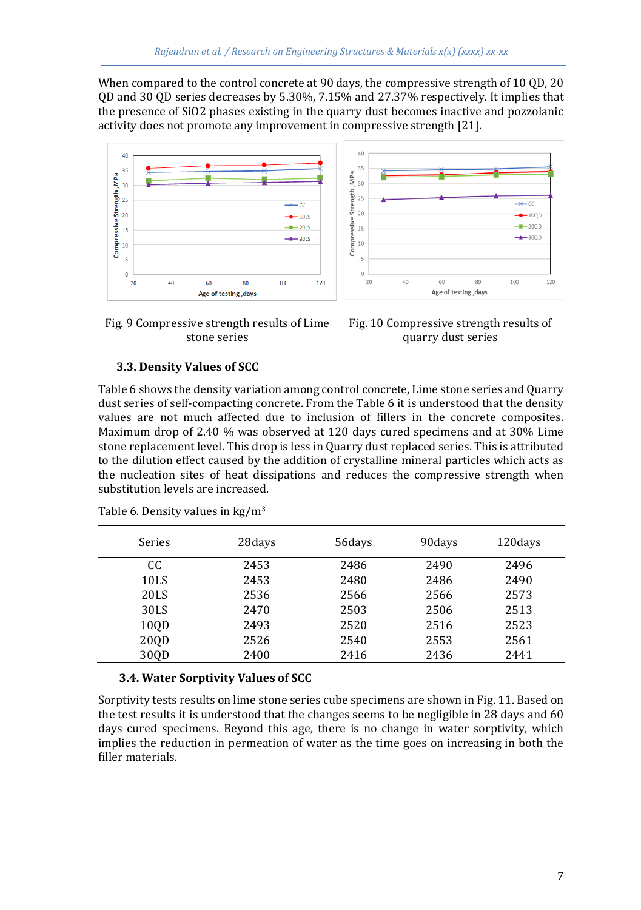When compared to the control concrete at 90 days, the compressive strength of 10 QD, 20 QD and 30 QD series decreases by 5.30%, 7.15% and 27.37% respectively. It implies that the presence of SiO2 phases existing in the quarry dust becomes inactive and pozzolanic activity does not promote any improvement in compressive strength [21].



Fig. 9 Compressive strength results of Lime stone series



### **3.3. Density Values of SCC**

Table 6 shows the density variation among control concrete, Lime stone series and Quarry dust series of self-compacting concrete. From the Table 6 it is understood that the density values are not much affected due to inclusion of fillers in the concrete composites. Maximum drop of 2.40 % was observed at 120 days cured specimens and at 30% Lime stone replacement level. This drop is less in Quarry dust replaced series. This is attributed to the dilution effect caused by the addition of crystalline mineral particles which acts as the nucleation sites of heat dissipations and reduces the compressive strength when substitution levels are increased.

| Series | 28 days | 56days | 90 days | 120 days |
|--------|---------|--------|---------|----------|
| CC     | 2453    | 2486   | 2490    | 2496     |
| 10LS   | 2453    | 2480   | 2486    | 2490     |
| 20LS   | 2536    | 2566   | 2566    | 2573     |
| 30LS   | 2470    | 2503   | 2506    | 2513     |
| 100D   | 2493    | 2520   | 2516    | 2523     |
| 20QD   | 2526    | 2540   | 2553    | 2561     |
| 300D   | 2400    | 2416   | 2436    | 2441     |

Table 6. Density values in  $\text{kg/m}^3$ 

### **3.4. Water Sorptivity Values of SCC**

Sorptivity tests results on lime stone series cube specimens are shown in Fig. 11. Based on the test results it is understood that the changes seems to be negligible in 28 days and 60 days cured specimens. Beyond this age, there is no change in water sorptivity, which implies the reduction in permeation of water as the time goes on increasing in both the filler materials.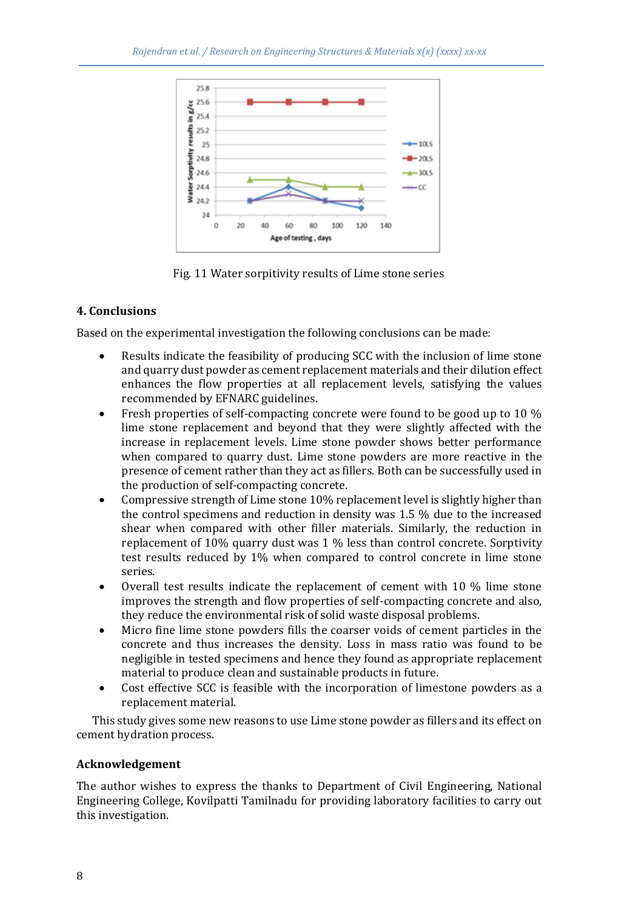

Fig. 11 Water sorpitivity results of Lime stone series

# **4. Conclusions**

Based on the experimental investigation the following conclusions can be made:

- Results indicate the feasibility of producing SCC with the inclusion of lime stone and quarry dust powder as cement replacement materials and their dilution effect enhances the flow properties at all replacement levels, satisfying the values recommended by EFNARC guidelines.
- Fresh properties of self-compacting concrete were found to be good up to 10 % lime stone replacement and beyond that they were slightly affected with the increase in replacement levels. Lime stone powder shows better performance when compared to quarry dust. Lime stone powders are more reactive in the presence of cement rather than they act as fillers. Both can be successfully used in the production of self-compacting concrete.
- Compressive strength of Lime stone 10% replacement level is slightly higher than the control specimens and reduction in density was 1.5 % due to the increased shear when compared with other filler materials. Similarly, the reduction in replacement of 10% quarry dust was 1 % less than control concrete. Sorptivity test results reduced by 1% when compared to control concrete in lime stone series.
- Overall test results indicate the replacement of cement with 10 % lime stone improves the strength and flow properties of self-compacting concrete and also, they reduce the environmental risk of solid waste disposal problems.
- Micro fine lime stone powders fills the coarser voids of cement particles in the concrete and thus increases the density. Loss in mass ratio was found to be negligible in tested specimens and hence they found as appropriate replacement material to produce clean and sustainable products in future.
- Cost effective SCC is feasible with the incorporation of limestone powders as a replacement material.

 This study gives some new reasons to use Lime stone powder as fillers and its effect on cement hydration process.

# **Acknowledgement**

The author wishes to express the thanks to Department of Civil Engineering, National Engineering College, Kovilpatti Tamilnadu for providing laboratory facilities to carry out this investigation.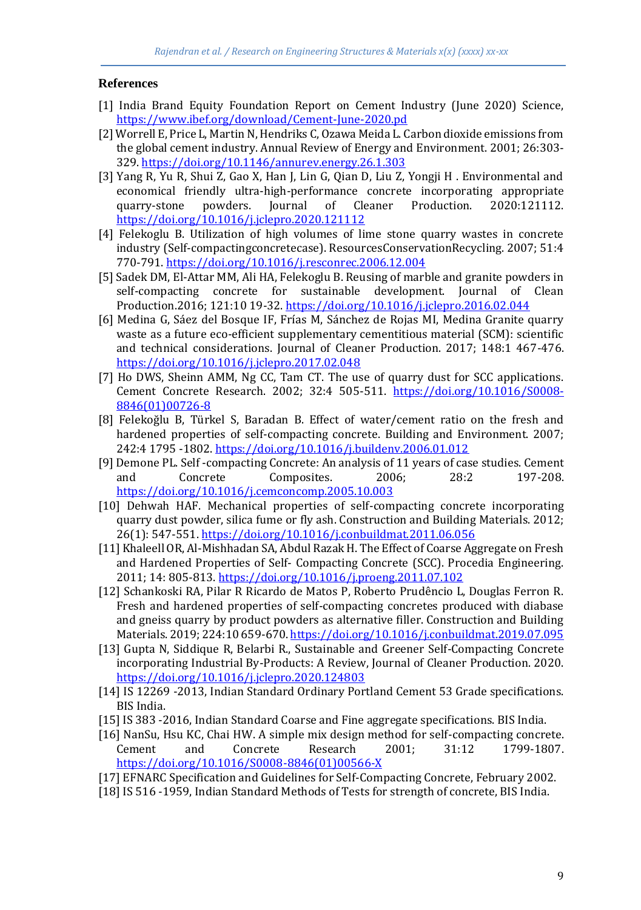### **References**

- [1] India Brand Equity Foundation Report on Cement Industry (June 2020) Science, <https://www.ibef.org/download/Cement-June-2020.pd>
- [2] Worrell E, Price L, Martin N, Hendriks C, Ozawa Meida L. Carbon dioxide emissions from the global cement industry. Annual Review of Energy and Environment. 2001; 26:303- 329[. https://doi.org/10.1146/annurev.energy.26.1.303](https://doi.org/10.1146/annurev.energy.26.1.303)
- [3] Yang R, Yu R, Shui Z, Gao X, Han J, Lin G, Qian D, Liu Z, Yongji H . Environmental and economical friendly ultra-high-performance concrete incorporating appropriate quarry-stone powders. Journal of Cleaner Production. 2020:121112. <https://doi.org/10.1016/j.jclepro.2020.121112>
- [4] Felekoglu B. Utilization of high volumes of lime stone quarry wastes in concrete industry (Self-compactingconcretecase). ResourcesConservationRecycling. 2007; 51:4 770-791[. https://doi.org/10.1016/j.resconrec.2006.12.004](https://doi.org/10.1016/j.resconrec.2006.12.004)
- [5] Sadek DM, El-Attar MM, Ali HA, Felekoglu B. Reusing of marble and granite powders in self-compacting concrete for sustainable development. Journal of Clean Production.2016; 121:10 19-32[. https://doi.org/10.1016/j.jclepro.2016.02.044](https://doi.org/10.1016/j.jclepro.2016.02.044)
- [6] Medina G, Sáez del Bosque IF, Frías M, Sánchez de Rojas MI, Medina Granite quarry waste as a future eco-efficient supplementary cementitious material (SCM): scientific and technical considerations. Journal of Cleaner Production. 2017; 148:1 467-476. <https://doi.org/10.1016/j.jclepro.2017.02.048>
- [7] Ho DWS, Sheinn AMM, Ng CC, Tam CT. The use of quarry dust for SCC applications. Cement Concrete Research. 2002; 32:4 505-511. [https://doi.org/10.1016/S0008-](https://doi.org/10.1016/S0008-8846(01)00726-8) [8846\(01\)00726-8](https://doi.org/10.1016/S0008-8846(01)00726-8)
- [8] Felekoğlu B, Türkel S, Baradan B. Effect of water/cement ratio on the fresh and hardened properties of self-compacting concrete. Building and Environment. 2007; 242:4 1795 -1802.<https://doi.org/10.1016/j.buildenv.2006.01.012>
- [9] Demone PL. Self -compacting Concrete: An analysis of 11 years of case studies. Cement and Concrete Composites. 2006; 28:2 197-208. <https://doi.org/10.1016/j.cemconcomp.2005.10.003>
- [10] Dehwah HAF. Mechanical properties of self-compacting concrete incorporating quarry dust powder, silica fume or fly ash. Construction and Building Materials. 2012; 26(1): 547-551[. https://doi.org/10.1016/j.conbuildmat.2011.06.056](https://doi.org/10.1016/j.conbuildmat.2011.06.056)
- [11] Khaleell OR, Al-Mishhadan SA, Abdul Razak H. The Effect of Coarse Aggregate on Fresh and Hardened Properties of Self- Compacting Concrete (SCC). Procedia Engineering. 2011; 14: 805-813[. https://doi.org/10.1016/j.proeng.2011.07.102](https://doi.org/10.1016/j.proeng.2011.07.102)
- [12] Schankoski RA, Pilar R Ricardo de Matos P, Roberto Prudêncio L, Douglas Ferron R. Fresh and hardened properties of self-compacting concretes produced with diabase and gneiss quarry by product powders as alternative filler. Construction and Building Materials. 2019; 224:10 659-670[. https://doi.org/10.1016/j.conbuildmat.2019.07.095](https://doi.org/10.1016/j.conbuildmat.2019.07.095)
- [13] Gupta N, Siddique R, Belarbi R., Sustainable and Greener Self-Compacting Concrete incorporating Industrial By-Products: A Review, Journal of Cleaner Production. 2020. <https://doi.org/10.1016/j.jclepro.2020.124803>
- [14] IS 12269 -2013, Indian Standard Ordinary Portland Cement 53 Grade specifications. BIS India.
- [15] IS 383 -2016, Indian Standard Coarse and Fine aggregate specifications. BIS India.
- [16] NanSu, Hsu KC, Chai HW. A simple mix design method for self-compacting concrete. Cement and Concrete Research 2001; 31:12 1799-1807. [https://doi.org/10.1016/S0008-8846\(01\)00566-X](https://doi.org/10.1016/S0008-8846(01)00566-X)
- [17] EFNARC Specification and Guidelines for Self-Compacting Concrete, February 2002.
- [18] IS 516 -1959, Indian Standard Methods of Tests for strength of concrete, BIS India.